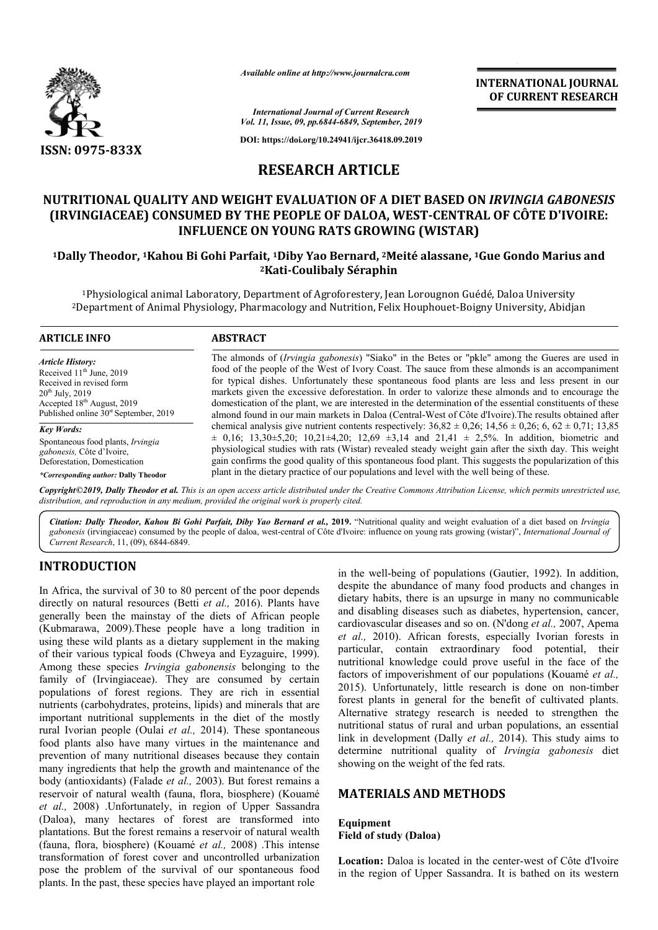

*Available online at http://www.journalcra.com*

**INTERNATIONAL JOURNAL OF CURRENT RESEARCH**

*International Journal of Current Research Vol. 11, Issue, 09, pp.6844-6849, September, 2019*

**DOI: https://doi.org/10.24941/ijcr.36418.09.2019**

# **RESEARCH ARTICLE**

# NUTRITIONAL QUALITY AND WEIGHT EVALUATION OF A DIET BASED ON *IRVINGIA GABONESIS* **(IRVINGIACEAE) CONSUMED BY THE PEOPLE OF DALOA, WEST WEST-CENTRAL OF CENTRAL CÔTE D'IVOIRE: INFLUENCE ON YOUNG RATS GROWING (WISTAR)**

# **1Dally Theodor, 1Kahou Bi Gohi Parfait, Kahou 1Diby Yao Bernard, 2Meité alassane, 1 INFLUENCE 1Gue Gondo Marius and 2Kati-Coulibaly Séraphin**

<sup>1</sup>Physiological animal Laboratory, Department of Agroforestery, Jean Lorougnon Guédé, Daloa University<br><sup>2</sup>Department of Animal Physiology, Pharmacology and Nutrition, Felix Houphouet-Boigny University, Abidjan <sup>1</sup>Physiological animal Laboratory, Department of Agroforestery, Jean Lorougnon Guédé, Daloa University

#### **ARTICLE INFO ABSTRACT**

*Article History:* Received 11<sup>th</sup> June, 2019 Received in revised form 20th July, 2019 Accepted 18th August, 2019 Published online  $30<sup>st</sup>$  September, 2019

*Key Words:* Spontaneous food plants, *Irvingia gabonesis,* Côte d'Ivoire, Deforestation, Domestication

*\*Corresponding author:* **Dally Theodor**

The almonds of ( *Irvingia gabonesis*) "Siako" in the Betes or "pkle" among the Gueres are used in food of the people of the West of Ivory Coast. The sauce from these almonds is an accompaniment for typical dishes. Unfortunately these spontaneous food plants are less and less present in our markets given the excessive deforestation. In order to valorize these almonds and to encourage the domestication of the plant, we are interested in the determination of the essential constituents of these almond found in our main markets in Daloa (Central (Central-West of Côte d'Ivoire).The results obtained after chemical analysis give nutrient contents respectively:  $36,82 \pm 0,26$ ;  $14,56 \pm 0,26$ ;  $6,62 \pm 0,71$ ; 13,85  $\pm$  0,16; 13,30 $\pm$ 5,20; 10,21 $\pm$ 4,20; 12,69  $\pm$ 3,14 and 21,41  $\pm$  2,5%. In addition, biometric and physiological studies with rats (Wistar) revealed steady weight gain after the sixth day. This weight gain confirms the good quality of this spontaneous food plant. This suggests the popularization of this plant in the dietary practice of our populations and level with the well being of these. The almonds of (*Irvingia gabonesis*) "Siako" in the Betes or "pkle" among the Gueres are used in food of the people of the West of Ivory Coast. The sauce from these almonds is an accompaniment for typical dishes. Unfortu

Copyright©2019, Dally Theodor et al. This is an open access article distributed under the Creative Commons Attribution License, which permits unrestricted use, *distribution, and reproduction in any medium, provided the original work is properly cited.*

Citation: Dally Theodor, Kahou Bi Gohi Parfait, Diby Yao Bernard et al., 2019. "Nutritional quality and weight evaluation of a diet based on *Irvingia* gabonesis (irvingiaceae) consumed by the people of daloa, west-central of Côte d'Ivoire: influence on young rats growing (wistar)", *International Journal of Current Research*, 11, (09), 6844-6849.

### **INTRODUCTION**

In Africa, the survival of 30 to 80 percent of the poor depends directly on natural resources (Betti *et al.,* 2016). Plants have generally been the mainstay of the diets of African people (Kubmarawa, 2009).These people have a long tradition in using these wild plants as a dietary supplement in the making of their various typical foods (Chweya and Eyzaguire, 1999). Among these species *Irvingia gabonensis* belonging to the family of (Irvingiaceae). They are consumed by certain populations of forest regions. They are rich in essential nutrients (carbohydrates, proteins, lipids) and minerals that are important nutritional supplements in the diet of the mostly rural Ivorian people (Oulai *et al.,* 2014). These spontaneous food plants also have many virtues in the maintenance and prevention of many nutritional diseases because they contain many ingredients that help the growth and maintenance of the body (antioxidants) (Falade *et al.,* 2003). But forest remains a reservoir of natural wealth (fauna, flora, biosphere) (Kouamé *et al.,* 2008) .Unfortunately, in region of Upper Sassandra (Daloa), many hectares of forest are transformed into plantations. But the forest remains a reservoir of natural wealth (fauna, flora, biosphere) (Kouamé *et al.,* 2008) .This inte transformation of forest cover and uncontrolled urbanization pose the problem of the survival of our spontaneous food plants. In the past, these species have played an important role ues in the maintenance and<br>iseases because they contain<br>owth and maintenance of the<br>, 2003). But forest remains a<br>a, flora, biosphere) (Kouamé<br>region of Upper Sassandra<br>rest are transformed into<br>a reservoir of natural weal in the well-being of populations (Gautier, 1992). In addition, despite the abundance of many food products and changes in dietary habits, there is an upsurge in many no communicable and disabling diseases such as diabetes, hypertension, cancer, cardiovascular diseases and so on. (N'dong *et al.,* 2007, Apema *et al.,* 2010). African forests, especially Ivorian forests in particular, contain extraordinary food potential, their nutritional knowledge could prove useful in the face of the factors of impoverishment of our populations (Kouamé et al., 2015). Unfortunately, little research is done on non-timber forest plants in general for the benefit of cultivated plants. forest plants in general for the benefit of cultivated plants.<br>Alternative strategy research is needed to strengthen the nutritional status of rural and urban populations, an essential link in development (Dally *et al.*, 2014). This study aims to determine nutritional quality of *Irvingia gabonesis* diet showing on the weight of the fed rats. the well-being of populations (Gautier, 1992). In a spite the abundance of many food products and chaetary habits, there is an upsurge in many no commund disabling diseases such as diabetes, hypertension, 2010). African forests, especially Ivorian forests in ar, contain extraordinary food potential, their nal knowledge could prove useful in the face of the of impoverishment of our populations (Kouamé *et al.*, **ERNATIONAL JOURNAL FOURNAL FOURNAL FOURNAL FOURNAL FOURNAL FOURNAL FOURNAL FOURNAL FOURNAL FOURNAL TO THE D'IVOIRE:**<br> **ESTANT DESCRIPT D'IVOIRE:**<br> **ESTANT DESCRIPT D'IVOIRE:**<br> **ESTANT DESCRIPT D'IVOIRE:**<br> **ESTANT DESCRIP** 

## **MATERIALS AND METHODS METHODS**

#### **Equipment Field of study (Daloa)**

Location: Daloa is located in the center-west of Côte d'Ivoire in the region of Upper Sassandra. It is bathed on its western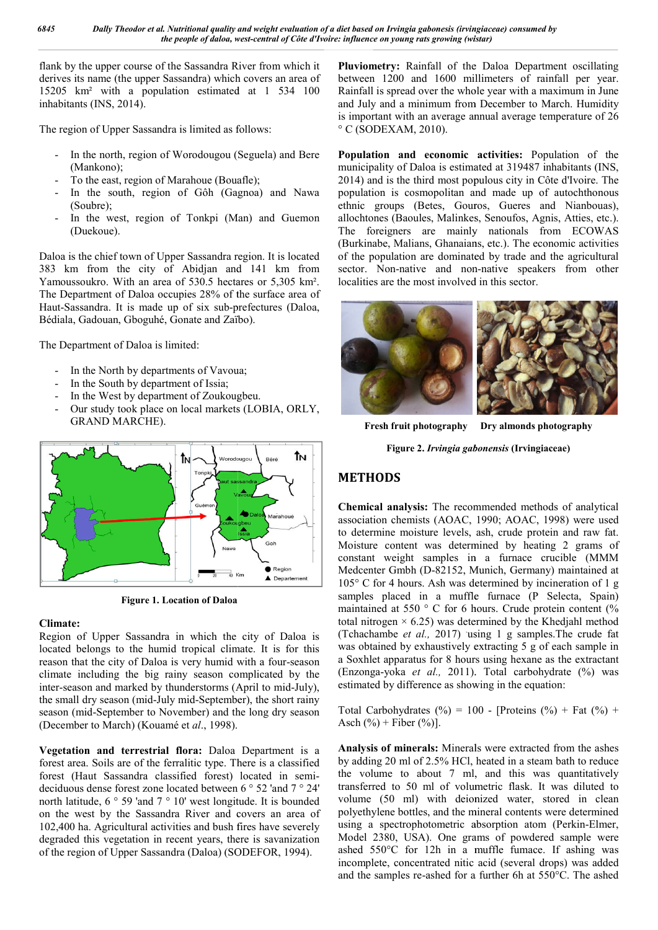flank by the upper course of the Sassandra River from which it derives its name (the upper Sassandra) which covers an area of 15205 km² with a population estimated at 1 534 100 inhabitants (INS, 2014).

The region of Upper Sassandra is limited as follows:

- In the north, region of Worodougou (Seguela) and Bere (Mankono);
- To the east, region of Marahoue (Bouafle);
- In the south, region of Gôh (Gag (Gagnoa) and Nawa (Soubre);
- In the west, region of Tonkpi (Man) and Guemon (Duekoue).

Daloa is the chief town of Upper Sassandra region. It is located 383 km from the city of Abidjan and 141 km from Yamoussoukro. With an area of 530.5 hectares or 5,305 km². The Department of Daloa occupies 28% of the surface area of The Department of Daloa occupies 28% of the surface area of Haut-Sassandra. It is made up of six sub-prefectures (Daloa, Bédiala, Gadouan, Gboguhé, Gonate and Zaïbo).

The Department of Daloa is limited:

- In the North by departments of Vavoua;
- In the South by department of Issia;
- In the West by department of Zoukougbeu.
- Our study took place on local markets (LOBIA, ORLY, GRAND MARCHE).



**Figure 1. Location of Daloa**

### **Climate:**

Region of Upper Sassandra in which the city of Daloa is located belongs to the humid tropical climate. It is for this reason that the city of Daloa is very humid with a four-season climate including the big rainy season complicated by the inter-season and marked by thunderstorms (April to mid-July), the small dry season (mid-July mid-September), the short rainy season (mid-September to November) and the long dry season (December to March) (Kouamé et *al*., 1998).

**Vegetation and terrestrial flora:** Daloa Department is a forest area. Soils are of the ferralitic type. There is a classified forest (Haut Sassandra classified forest) located in semi deciduous dense forest zone located between 6 ° 52 'and 7 ° 24' north latitude, 6 ° 59 'and 7 ° 10' west longitude. It is bounded on the west by the Sassandra River and covers an area of 102,400 ha. Agricultural activities and bush fires have severely degraded this vegetation in recent years, there is savanization of the region of Upper Sassandra (Daloa) (SODEFOR, 1994). September), the short rainy<br>September to November) and the long dry season<br>D. March) (Kouamé et al., 1998).<br>**and terrestrial flora:** Daloa Department is a<br>loils are of the ferralitic type. There is a classified<br>Sassandra c

**Pluviometry:** Rainfall of the Daloa Department oscillating between 1200 and 1600 millimeters of rainfall per year. Rainfall is spread over the whole year with a maximum in June and July and a minimum from December to March. Humidity is important with an average annual average temperature of 26 ° C (SODEXAM, 2010). uviometry: Rainfall of the Daloa Department oscillating<br>tween 1200 and 1600 millimeters of rainfall per year.<br>infall is spread over the whole year with a maximum in June<br>d July and a minimum from December to March. Humidit

Population and economic activities: Population of the municipality of Daloa is estimated at 319487 inhabitants (INS, 2014) and is the third most populous city in Côte d'Ivoire. The population is cosmopolitan and made up of autochthonous ethnic groups (Betes, Gouros, Gueres and Nianbouas), allochtones (Baoules, Malinkes, Senoufos, Agnis, Atties, etc.). allochtones (Baoules, Malinkes, Senoufos, Agnis, Atties, etc.).<br>The foreigners are mainly nationals from ECOWAS (Burkinabe, Malians, Ghanaians, etc.). The economic activities of the population are dominated by trade and the agricultural sector. Non-native and non-native speakers from other sector. Non-native and non-native speakers from other localities are the most involved in this sector. ality of Daloa is estimated at 319487 inhabitants (INS, nd is the third most populous city in Côte d'Ivoire. The on is cosmopolitan and made up of autochthonous groups (Betes, Gouros, Gueres and Nianbouas),



**Fresh fruit photography Dry almonds photography**

**Figure 2.** *Irvingia gabonensis* **(Irvingiaceae)**

# **METHODS**

**Chemical analysis:** The recommended methods of analytical association chemists (AOAC, 1990; AOAC, 1998) were used to determine moisture levels, ash, crude protein and raw fat. Moisture content was determined by heating 2 grams of constant weight samples in a furnace crucible (MMM Medcenter Gmbh (D-82152, Munich, Germany) maintained at 105° C for 4 hours. Ash was determined by incineration of 1 g samples placed in a muffle furnace (P Selecta, Spain) maintained at 550 ° C for 6 hours. Crude protein content (% total nitrogen  $\times$  6.25) was determined by the Khedjahl method (Tchachambe et al., 2017) using 1 g samples.The crude fat was obtained by exhaustively extracting 5 g of each sample in a Soxhlet apparatus for 8 hours using hexane as the extractant (Enzonga-yoka *et al.*, 2011). Total carbohydrate (%) was estimated by difference as showing in the equation: ion chemists (AOAC, 1990; AOAC, 1998) were used<br>mine moisture levels, ash, crude protein and raw fat.<br>e content was determined by heating 2 grams of<br>t weight samples in a furnace crucible (MMM<br>ter Gmbh (D-82152, Munich, G obtained by exhaustively extracting 5 g of each sample in xhlet apparatus for 8 hours using hexane as the extractant conga-yoka *et al.*, 2011). Total carbohydrate  $(\%)$  was

Total Carbohydrates  $(\%) = 100$  - [Proteins  $(\%)$  + Fat  $(\%)$  + Asch  $(\%)$  + Fiber  $(\%)$ ].

**Analysis of minerals:** Minerals were extracted from the ashes Analysis of minerals: Minerals were extracted from the ashes by adding 20 ml of 2.5% HCl, heated in a steam bath to reduce the volume to about 7 ml, and this was quantitatively transferred to 50 ml of volumetric flask. It was diluted to volume (50 ml) with deionized water, stored in clean polyethylene bottles, and the mineral contents were determined using a spectrophotometric absorption atom (Perkin Model 2380, USA). One grams of powdered sample were ashed 550°C for 12h in a muffle fumace. If ashing was incomplete, concentrated nitic acid (several drops) was added and the samples re-ashed for a further 6h at 550° the volume to about 7 ml, and this was quantitatively transferred to 50 ml of volumetric flask. It was diluted to volume (50 ml) with deionized water, stored in clean polyethylene bottles, and the mineral contents were det C for 12h in a muffle fumace. If ashing was concentrated nitic acid (several drops) was added ples re-ashed for a further 6h at  $550^{\circ}$ C. The ashed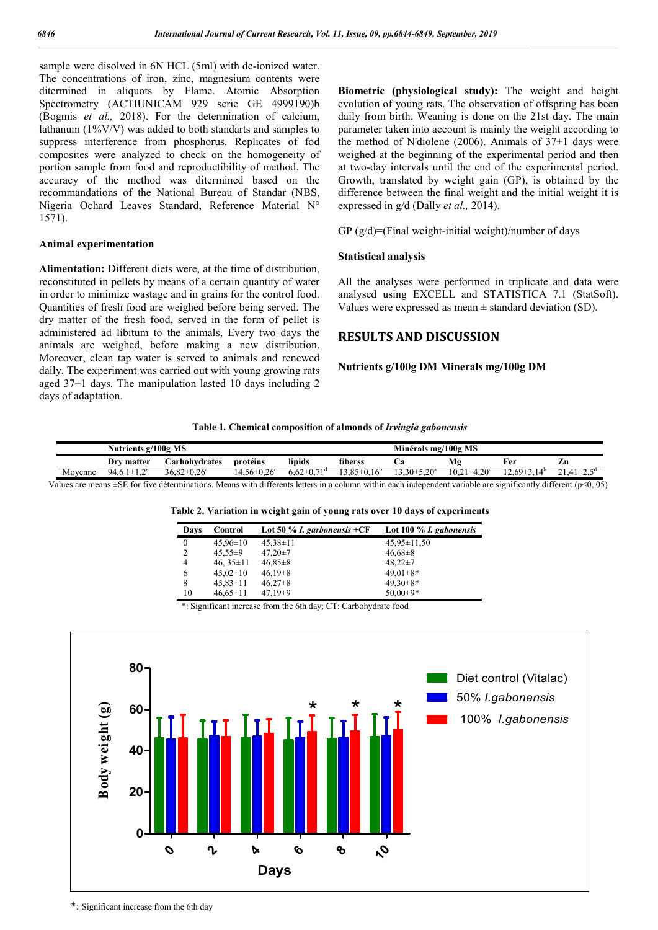sample were disolved in 6N HCL (5ml) with de-ionized water. The concentrations of iron, zinc, magnesium contents were ditermined in aliquots by Flame. Atomic Absorption Spectrometry (ACTIUNICAM 929 serie GE 4999190)b (Bogmis *et al.,* 2018). For the determination of calcium, lathanum (1%V/V) was added to both standarts and samples to suppress interference from phosphorus. Replicates of fod composites were analyzed to check on the homogeneity of portion sample from food and reproductibility of method. The accuracy of the method was ditermined based on the recommandations of the National Bureau of Standar (NBS, Nigeria Ochard Leaves Standard, Reference Material N° 1571).

#### **Animal experimentation**

**Alimentation:** Different diets were, at the time of distribution, reconstituted in pellets by means of a certain quantity of water in order to minimize wastage and in grains for the control food. Quantities of fresh food are weighed before being served. The dry matter of the fresh food, served in the form of pellet is administered ad libitum to the animals, Every two days the animals are weighed, before making a new distribution. Moreover, clean tap water is served to animals and renewed daily. The experiment was carried out with young growing rats aged  $37\pm1$  days. The manipulation lasted 10 days including 2 days of adaptation.

**Biometric (physiological study):** The weight and height evolution of young rats. The observation of offspring has been daily from birth. Weaning is done on the 21st day. The main parameter taken into account is mainly the weight according to the method of N'diolene (2006). Animals of  $37\pm1$  days were weighed at the beginning of the experimental period and then at two-day intervals until the end of the experimental period. Growth, translated by weight gain (GP), is obtained by the difference between the final weight and the initial weight it is expressed in g/d (Dally *et al.,* 2014).

GP  $(g/d)$ =(Final weight-initial weight)/number of days

#### **Statistical analysis**

All the analyses were performed in triplicate and data were analysed using EXCELL and STATISTICA 7.1 (StatSoft). Values were expressed as mean  $\pm$  standard deviation (SD).

#### **RESULTS AND DISCUSSION**

**Nutrients g/100g DM Minerals mg/100g DM**

|  |  | Table 1. Chemical composition of almonds of Irvingia gabonensis |  |  |  |
|--|--|-----------------------------------------------------------------|--|--|--|
|--|--|-----------------------------------------------------------------|--|--|--|

|         | MS<br>Nutrients $g/100g$                                    |                             |                                       |        |                                       | Minérals mg/100g MS |                                     |                  |                                                               |
|---------|-------------------------------------------------------------|-----------------------------|---------------------------------------|--------|---------------------------------------|---------------------|-------------------------------------|------------------|---------------------------------------------------------------|
|         | Dr<br>matter                                                | <b>Carhohvdrates</b> ∟      | protéins                              | lipids | fiberss                               | va.                 | Mg                                  | Fer              | Zn                                                            |
| Movenne | $\mathbf{e}$<br>Q4<br>$\overline{\phantom{0}}$<br><b>__</b> | $3682+0.26^a$<br>20.o∠≖0.∠0 | $+56\pm0.26$ <sup>c</sup><br>$\Delta$ | 71.    | $95 + 1$<br>16 <sup>D</sup><br>$\sim$ | $.3.30 \pm 5.20^a$  | $A \Omega$<br>10.21<br>十 士牛.<br>.20 | $69\pm$<br>- 4 D | $^{\sim}$ 1<br>$^{\circ}$ $41+$<br>$\cdots$ $\cdots$ $\cdots$ |

Values are means  $\pm$ SE for five déterminations. Means with differents letters in a column within each independent variable are significantly different ( $p$ <0, 05)

|  |  |  |  |  |  |  | Table 2. Variation in weight gain of young rats over 10 days of experiments |
|--|--|--|--|--|--|--|-----------------------------------------------------------------------------|
|--|--|--|--|--|--|--|-----------------------------------------------------------------------------|

|          | Davs | Control        | Lot 50 % <i>I. garbonensis</i> $+CF$ | Lot 100 $\%$ <i>I. gabonensis</i> |
|----------|------|----------------|--------------------------------------|-----------------------------------|
| $\theta$ |      | $45,96\pm10$   | $45,38\pm11$                         | $45.95 \pm 11.50$                 |
| 2        |      | $45.55 \pm 9$  | $47,20\pm7$                          | $46,68 \pm 8$                     |
| 4        |      | 46, $35\pm11$  | $46,85 \pm 8$                        | $48,22 \pm 7$                     |
| 6        |      | $45,02\pm10$   | $46,19\pm8$                          | $49.01 \pm 8*$                    |
| 8        |      | $45,83 \pm 11$ | $46,27\pm 8$                         | $49.30 \pm 8*$                    |
|          | 10   | $46,65 \pm 11$ | $47,19\pm9$                          | $50,00\pm9*$                      |

\*: Significant increase from the 6th day; CT: Carbohydrate food



\*: Significant increase from the 6th day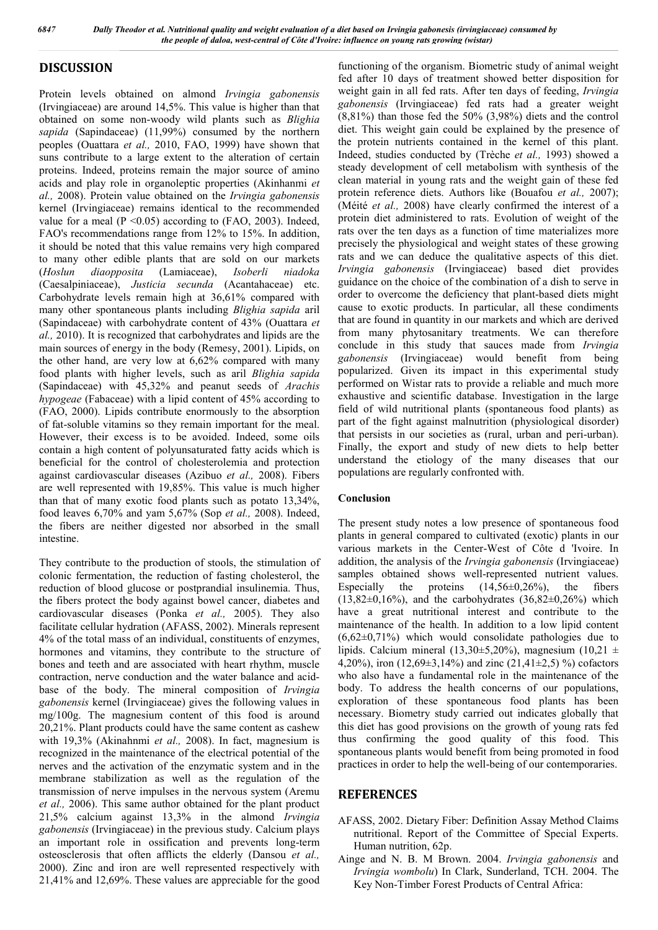# **DISCUSSION**

Protein levels obtained on almond *Irvingia gabonensis* (Irvingiaceae) are around 14,5%. This value is higher than that obtained on some non-woody wild plants such as *Blighia sapida* (Sapindaceae) (11,99%) consumed by the northern peoples (Ouattara *et al.,* 2010, FAO, 1999) have shown that suns contribute to a large extent to the alteration of certain proteins. Indeed, proteins remain the major source of amino acids and play role in organoleptic properties (Akinhanmi *et al.,* 2008). Protein value obtained on the *Irvingia gabonensis* kernel (Irvingiaceae) remains identical to the recommended value for a meal  $(P \le 0.05)$  according to (FAO, 2003). Indeed, FAO's recommendations range from 12% to 15%. In addition, it should be noted that this value remains very high compared to many other edible plants that are sold on our markets (*Hoslun diaopposita* (Lamiaceae), *Isoberli niadoka* (Caesalpiniaceae), *Justicia secunda* (Acantahaceae) etc. Carbohydrate levels remain high at 36,61% compared with many other spontaneous plants including *Blighia sapida* aril (Sapindaceae) with carbohydrate content of 43% (Ouattara *et al.,* 2010). It is recognized that carbohydrates and lipids are the main sources of energy in the body (Remesy, 2001). Lipids, on the other hand, are very low at 6,62% compared with many food plants with higher levels, such as aril *Blighia sapida* (Sapindaceae) with 45,32% and peanut seeds of *Arachis hypogeae* (Fabaceae) with a lipid content of 45% according to (FAO, 2000). Lipids contribute enormously to the absorption of fat-soluble vitamins so they remain important for the meal. However, their excess is to be avoided. Indeed, some oils contain a high content of polyunsaturated fatty acids which is beneficial for the control of cholesterolemia and protection against cardiovascular diseases (Azibuo *et al.,* 2008). Fibers are well represented with 19,85%. This value is much higher than that of many exotic food plants such as potato 13,34%, food leaves 6,70% and yam 5,67% (Sop *et al.,* 2008). Indeed, the fibers are neither digested nor absorbed in the small intestine.

They contribute to the production of stools, the stimulation of colonic fermentation, the reduction of fasting cholesterol, the reduction of blood glucose or postprandial insulinemia. Thus, the fibers protect the body against bowel cancer, diabetes and cardiovascular diseases (Ponka *et al.,* 2005). They also facilitate cellular hydration (AFASS, 2002). Minerals represent 4% of the total mass of an individual, constituents of enzymes, hormones and vitamins, they contribute to the structure of bones and teeth and are associated with heart rhythm, muscle contraction, nerve conduction and the water balance and acidbase of the body. The mineral composition of *Irvingia gabonensis* kernel (Irvingiaceae) gives the following values in mg/100g. The magnesium content of this food is around 20,21%. Plant products could have the same content as cashew with 19,3% (Akinahnmi *et al.,* 2008). In fact, magnesium is recognized in the maintenance of the electrical potential of the nerves and the activation of the enzymatic system and in the membrane stabilization as well as the regulation of the transmission of nerve impulses in the nervous system (Aremu *et al.,* 2006). This same author obtained for the plant product 21,5% calcium against 13,3% in the almond *Irvingia gabonensis* (Irvingiaceae) in the previous study. Calcium plays an important role in ossification and prevents long-term osteosclerosis that often afflicts the elderly (Dansou *et al.,*  2000). Zinc and iron are well represented respectively with 21,41% and 12,69%. These values are appreciable for the good

functioning of the organism. Biometric study of animal weight fed after 10 days of treatment showed better disposition for weight gain in all fed rats. After ten days of feeding, *Irvingia gabonensis* (Irvingiaceae) fed rats had a greater weight (8,81%) than those fed the 50% (3,98%) diets and the control diet. This weight gain could be explained by the presence of the protein nutrients contained in the kernel of this plant. Indeed, studies conducted by (Trèche *et al.,* 1993) showed a steady development of cell metabolism with synthesis of the clean material in young rats and the weight gain of these fed protein reference diets. Authors like (Bouafou *et al.,* 2007); (Méité *et al.,* 2008) have clearly confirmed the interest of a protein diet administered to rats. Evolution of weight of the rats over the ten days as a function of time materializes more precisely the physiological and weight states of these growing rats and we can deduce the qualitative aspects of this diet. *Irvingia gabonensis* (Irvingiaceae) based diet provides guidance on the choice of the combination of a dish to serve in order to overcome the deficiency that plant-based diets might cause to exotic products. In particular, all these condiments that are found in quantity in our markets and which are derived from many phytosanitary treatments. We can therefore conclude in this study that sauces made from *Irvingia gabonensis* (Irvingiaceae) would benefit from being popularized. Given its impact in this experimental study performed on Wistar rats to provide a reliable and much more exhaustive and scientific database. Investigation in the large field of wild nutritional plants (spontaneous food plants) as part of the fight against malnutrition (physiological disorder) that persists in our societies as (rural, urban and peri-urban). Finally, the export and study of new diets to help better understand the etiology of the many diseases that our populations are regularly confronted with.

### **Conclusion**

The present study notes a low presence of spontaneous food plants in general compared to cultivated (exotic) plants in our various markets in the Center-West of Côte d 'Ivoire. In addition, the analysis of the *Irvingia gabonensis* (Irvingiaceae) samples obtained shows well-represented nutrient values. Especially the proteins  $(14,56\pm0,26\%)$ , the fibers  $(13,82\pm0,16\%)$ , and the carbohydrates  $(36,82\pm0,26\%)$  which have a great nutritional interest and contribute to the maintenance of the health. In addition to a low lipid content  $(6.62\pm0.71\%)$  which would consolidate pathologies due to lipids. Calcium mineral (13,30 $\pm$ 5,20%), magnesium (10,21  $\pm$ 4,20%), iron (12,69 $\pm$ 3,14%) and zinc (21,41 $\pm$ 2,5) %) cofactors who also have a fundamental role in the maintenance of the body. To address the health concerns of our populations, exploration of these spontaneous food plants has been necessary. Biometry study carried out indicates globally that this diet has good provisions on the growth of young rats fed thus confirming the good quality of this food. This spontaneous plants would benefit from being promoted in food practices in order to help the well-being of our contemporaries.

### **REFERENCES**

- AFASS, 2002. Dietary Fiber: Definition Assay Method Claims nutritional. Report of the Committee of Special Experts. Human nutrition, 62p.
- Ainge and N. B. M Brown. 2004. *Irvingia gabonensis* and *Irvingia wombolu*) In Clark, Sunderland, TCH. 2004. The Key Non-Timber Forest Products of Central Africa: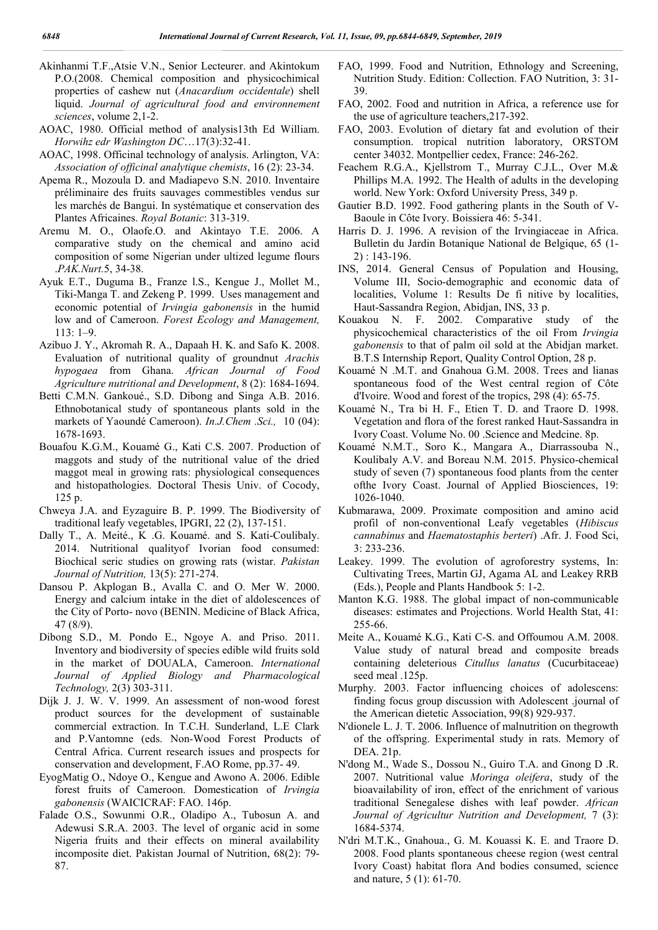- Akinhanmi T.F.,Atsie V.N., Senior Lecteurer. and Akintokum P.O.(2008. Chemical composition and physicochimical properties of cashew nut (*Anacardium occidentale*) shell liquid. *Journal of agricultural food and environnement sciences*, volume 2,1-2.
- AOAC, 1980. Official method of analysis13th Ed William. *Horwihz edr Washington DC*…17(3):32-41.
- AOAC, 1998. Officinal technology of analysis. Arlington, VA: *Association of officinal analytique chemists*, 16 (2): 23-34.
- Apema R., Mozoula D. and Madiapevo S.N. 2010. Inventaire préliminaire des fruits sauvages commestibles vendus sur les marchés de Bangui. In systématique et conservation des Plantes Africaines. *Royal Botanic*: 313-319.
- Aremu M. O., Olaofe.O. and Akintayo T.E. 2006. A comparative study on the chemical and amino acid composition of some Nigerian under ultized legume flours .*PAK.Nurt.*5, 34-38.
- Ayuk E.T., Duguma B., Franze l.S., Kengue J., Mollet M., Tiki-Manga T. and Zekeng P. 1999. Uses management and economic potential of *Irvingia gabonensis* in the humid low and of Cameroon. *Forest Ecology and Management,*  113: 1–9.
- Azibuo J. Y., Akromah R. A., Dapaah H. K. and Safo K. 2008. Evaluation of nutritional quality of groundnut *Arachis hypogaea* from Ghana. *African Journal of Food Agriculture nutritional and Development*, 8 (2): 1684-1694.
- Betti C.M.N. Gankoué., S.D. Dibong and Singa A.B. 2016. Ethnobotanical study of spontaneous plants sold in the markets of Yaoundé Cameroon). *In.J.Chem .Sci.,* 10 (04): 1678-1693.
- Bouafou K.G.M., Kouamé G., Kati C.S. 2007. Production of maggots and study of the nutritional value of the dried maggot meal in growing rats: physiological consequences and histopathologies. Doctoral Thesis Univ. of Cocody, 125 p.
- Chweya J.A. and Eyzaguire B. P. 1999. The Biodiversity of traditional leafy vegetables, IPGRI, 22 (2), 137-151.
- Dally T., A. Meité., K .G. Kouamé. and S. Kati-Coulibaly. 2014. Nutritional qualityof Ivorian food consumed: Biochical seric studies on growing rats (wistar. *Pakistan Journal of Nutrition,* 13(5): 271-274.
- Dansou P. Akplogan B., Avalla C. and O. Mer W. 2000. Energy and calcium intake in the diet of aldolescences of the City of Porto- novo (BENIN. Medicine of Black Africa, 47 (8/9).
- Dibong S.D., M. Pondo E., Ngoye A. and Priso. 2011. Inventory and biodiversity of species edible wild fruits sold in the market of DOUALA, Cameroon. *International Journal of Applied Biology and Pharmacological Technology,* 2(3) 303-311.
- Dijk J. J. W. V. 1999. An assessment of non-wood forest product sources for the development of sustainable commercial extraction. In T.C.H. Sunderland, L.E Clark and P.Vantomne (eds. Non-Wood Forest Products of Central Africa. Current research issues and prospects for conservation and development, F.AO Rome, pp.37- 49.
- EyogMatig O., Ndoye O., Kengue and Awono A. 2006. Edible forest fruits of Cameroon. Domestication of *Irvingia gabonensis* (WAICICRAF: FAO. 146p.
- Falade O.S., Sowunmi O.R., Oladipo A., Tubosun A. and Adewusi S.R.A. 2003. The level of organic acid in some Nigeria fruits and their effects on mineral availability incomposite diet. Pakistan Journal of Nutrition, 68(2): 79- 87.
- FAO, 1999. Food and Nutrition, Ethnology and Screening, Nutrition Study. Edition: Collection. FAO Nutrition, 3: 31- 39.
- FAO, 2002. Food and nutrition in Africa, a reference use for the use of agriculture teachers,217-392.
- FAO, 2003. Evolution of dietary fat and evolution of their consumption. tropical nutrition laboratory, ORSTOM center 34032. Montpellier cedex, France: 246-262.
- Feachem R.G.A., Kjellstrom T., Murray C.J.L., Over M.& Phillips M.A. 1992. The Health of adults in the developing world. New York: Oxford University Press, 349 p.
- Gautier B.D. 1992. Food gathering plants in the South of V-Baoule in Côte Ivory. Boissiera 46: 5-341.
- Harris D. J. 1996. A revision of the Irvingiaceae in Africa. Bulletin du Jardin Botanique National de Belgique, 65 (1- 2) : 143-196.
- INS, 2014. General Census of Population and Housing, Volume III, Socio-demographic and economic data of localities, Volume 1: Results De fi nitive by localities, Haut-Sassandra Region, Abidjan, INS, 33 p.
- Kouakou N. F. 2002. Comparative study of the physicochemical characteristics of the oil From *Irvingia gabonensis* to that of palm oil sold at the Abidjan market. B.T.S Internship Report, Quality Control Option, 28 p.
- Kouamé N .M.T. and Gnahoua G.M. 2008. Trees and lianas spontaneous food of the West central region of Côte d'Ivoire. Wood and forest of the tropics, 298 (4): 65-75.
- Kouamé N., Tra bi H. F., Etien T. D. and Traore D. 1998. Vegetation and flora of the forest ranked Haut-Sassandra in Ivory Coast. Volume No. 00 .Science and Medcine. 8p.
- Kouamé N.M.T., Soro K., Mangara A., Diarrassouba N., Koulibaly A.V. and Boreau N.M. 2015. Physico-chemical study of seven (7) spontaneous food plants from the center ofthe Ivory Coast. Journal of Applied Biosciences, 19: 1026-1040.
- Kubmarawa, 2009. Proximate composition and amino acid profil of non-conventional Leafy vegetables (*Hibiscus cannabinus* and *Haematostaphis berteri*) .Afr. J. Food Sci, 3: 233-236.
- Leakey. 1999. The evolution of agroforestry systems, In: Cultivating Trees, Martin GJ, Agama AL and Leakey RRB (Eds.), People and Plants Handbook 5: 1-2.
- Manton K.G. 1988. The global impact of non-communicable diseases: estimates and Projections. World Health Stat, 41: 255-66.
- Meite A., Kouamé K.G., Kati C-S. and Offoumou A.M. 2008. Value study of natural bread and composite breads containing deleterious *Citullus lanatus* (Cucurbitaceae) seed meal .125p.
- Murphy. 2003. Factor influencing choices of adolescens: finding focus group discussion with Adolescent .journal of the American dietetic Association, 99(8) 929-937.
- N'dionele L. J. T. 2006. Influence of malnutrition on thegrowth of the offspring. Experimental study in rats. Memory of DEA. 21p.
- N'dong M., Wade S., Dossou N., Guiro T.A. and Gnong D .R. 2007. Nutritional value *Moringa oleifera*, study of the bioavailability of iron, effect of the enrichment of various traditional Senegalese dishes with leaf powder. *African Journal of Agricultur Nutrition and Development,* 7 (3): 1684-5374.
- N'dri M.T.K., Gnahoua., G. M. Kouassi K. E. and Traore D. 2008. Food plants spontaneous cheese region (west central Ivory Coast) habitat flora And bodies consumed, science and nature, 5 (1): 61-70.